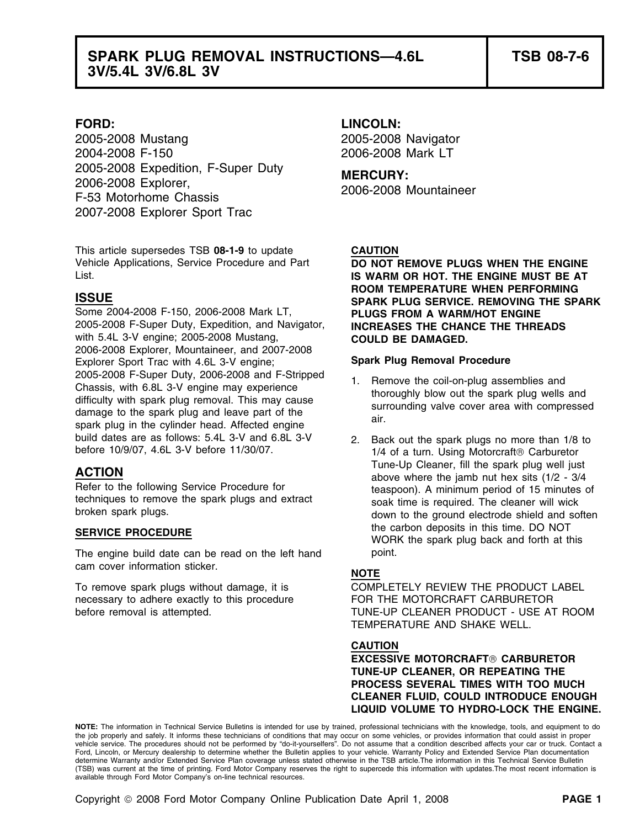## **SPARK PLUG REMOVAL INSTRUCTIONS—4.6L TSB 08-7-6 3V/5.4L 3V/6.8L 3V**

2005-2008 Mustang 2005-2008 Navigator 2004-2008 F-150 2006-2008 Mark LT 2005-2008 Expedition, F-Super Duty<br>2006-2008 Explorer, 2006-2008 Mountaineer<br>F-53 Motorhome Chassis 2007-2008 Explorer Sport Trac

This article supersedes TSB **08-1-9** to update **CAUTION**

Some 2004-2008 F-150, 2006-2008 Mark LT, **PLUGS FROM A WARM/HOT ENGINE** 2005-2008 F-Super Duty, Expedition, and Navigator, **INCREASES THE CHANCE THE THREADS** with 5.4L 3-V engine; 2005-2008 Mustang, **COULD BE DAMAGED.** 2006-2008 Explorer, Mountaineer, and 2007-2008 Explorer Sport Trac with 4.6L 3-V engine; **Spark Plug Removal Procedure**  2005-2008 F-Super Duty, 2006-2008 and F-Stripped<br>
Chassis, with 6.8L 3-V engine may experience<br>
difficulty with spark plug removal. This may cause<br>
damage to the spark plug and leave part of the<br>
spark plug in the cylinder build dates are as follows: 5.4L 3-V and 6.8L 3-V 2. Back out the spark plugs no more than 1/8 to before 10/9/07, 4.6L 3-V before 11/30/07.

The engine build date can be read on the left hand point. cam cover information sticker. **NOTE**

necessary to adhere exactly to this procedure FOR THE MOTORCRAFT CARBURETOR

### **FORD: LINCOLN:**

Vehicle Applications, Service Procedure and Part **DO NOT REMOVE PLUGS WHEN THE ENGINE** List. **IS WARM OR HOT. THE ENGINE MUST BE AT ROOM TEMPERATURE WHEN PERFORMING ISSUE SPARK PLUG SERVICE. REMOVING THE SPARK**

- 
- $1/4$  of a turn. Using Motorcraft <sup>®</sup> Carburetor **ACTION**<br>
Tune-Up Cleaner, fill the spark plug well just<br>
Refer to the following Service Procedure for<br>
techniques to remove the spark plugs and extract<br>
broken spark plugs.<br>
broken spark plugs.<br>
broken spark plugs.<br>
and e **SERVICE PROCEDURE SERVICE PROCEDURE SERVICE PROCEDURE SERVICE PROCEDURE SERVICE PROCEDURE SERVICE PROCEDURE SERVICE PROCEDURE SERVICE PROCEDURE SERVICE PROCEDURE SERVICE PROCEDURE SERVICE PROCEDURE S**

To remove spark plugs without damage, it is COMPLETELY REVIEW THE PRODUCT LABEL before removal is attempted. TUNE-UP CLEANER PRODUCT - USE AT ROOM TEMPERATURE AND SHAKE WELL.

### **CAUTION**

**EXCESSIVE MOTORCRAFT CARBURETOR TUNE-UP CLEANER, OR REPEATING THE PROCESS SEVERAL TIMES WITH TOO MUCH CLEANER FLUID, COULD INTRODUCE ENOUGH LIQUID VOLUME TO HYDRO-LOCK THE ENGINE.**

**NOTE:** The information in Technical Service Bulletins is intended for use by trained, professional technicians with the knowledge, tools, and equipment to do the job properly and safely. It informs these technicians of conditions that may occur on some vehicles, or provides information that could assist in proper vehicle service. The procedures should not be performed by "do-it-yourselfers". Do not assume that a condition described affects your car or truck. Contact a Ford, Lincoln, or Mercury dealership to determine whether the Bulletin applies to your vehicle. Warranty Policy and Extended Service Plan documentation determine Warranty and/or Extended Service Plan coverage unless stated otherwise in the TSB article.The information in this Technical Service Bulletin (TSB) was current at the time of printing. Ford Motor Company reserves the right to supercede this information with updates.The most recent information is available through Ford Motor Company's on-line technical resources.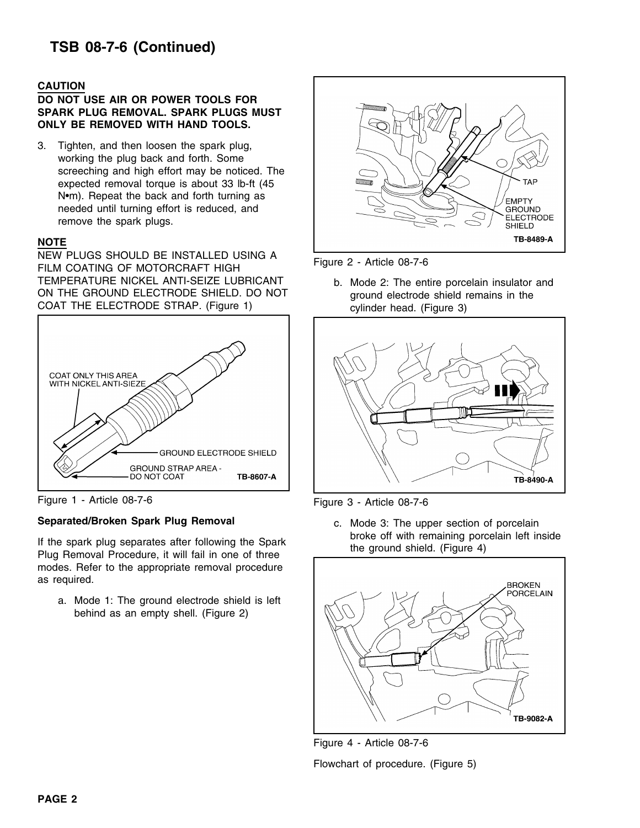# **TSB 08-7-6 (Continued)**

### **CAUTION**

### **DO NOT USE AIR OR POWER TOOLS FOR SPARK PLUG REMOVAL. SPARK PLUGS MUST ONLY BE REMOVED WITH HAND TOOLS.**

3. Tighten, and then loosen the spark plug, working the plug back and forth. Some screeching and high effort may be noticed. The expected removal torque is about 33 lb-ft (45 N•m). Repeat the back and forth turning as needed until turning effort is reduced, and remove the spark plugs.

### **NOTE**

NEW PLUGS SHOULD BE INSTALLED USING A<br>FILM COATING OF MOTORCRAFT HIGH TEMPERATURE NICKEL ANTI-SEIZE LUBRICANT b. Mode 2: The entire porcelain insulator and ON THE GROUND ELECTRODE SHIELD. DO NOT ground electrode shield remains in the COAT THE ELECTRODE STRAP. (Figure 1) cylinder head. (Figure 3)



Figure 1 - Article 08-7-6 Figure 3 - Article 08-7-6

### **Separated/Broken Spark Plug Removal <b>Separated/Broken Spark Plug Removal c.** Mode 3: The upper section of porcelain

modes. Refer to the appropriate removal procedure as required.

a. Mode 1: The ground electrode shield is left behind as an empty shell. (Figure 2)





If the spark plug separates after following the Spark broke off with remaining porcelain left inside<br>Plug Removal Procedure, it will fail in one of three the ground shield. (Figure 4)





Flowchart of procedure. (Figure 5)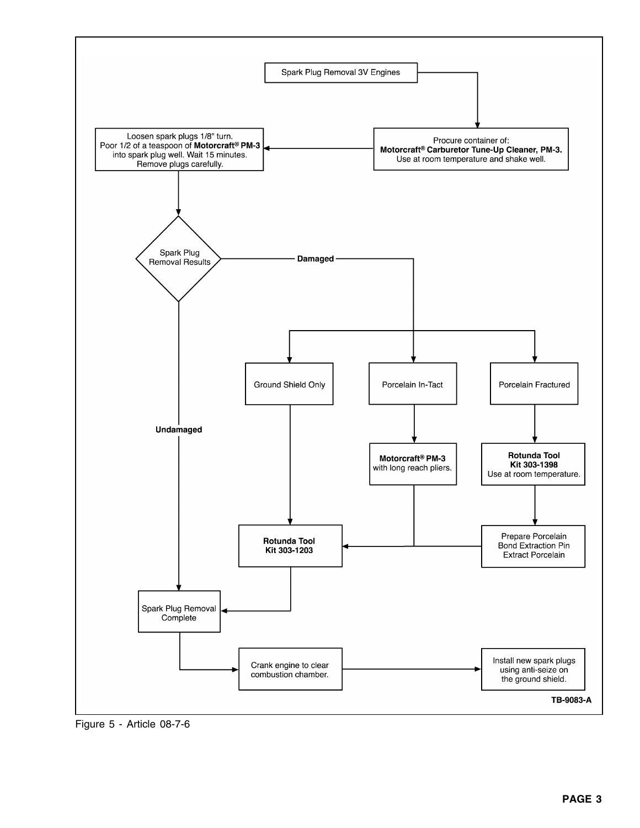

Figure 5 - Article 08-7-6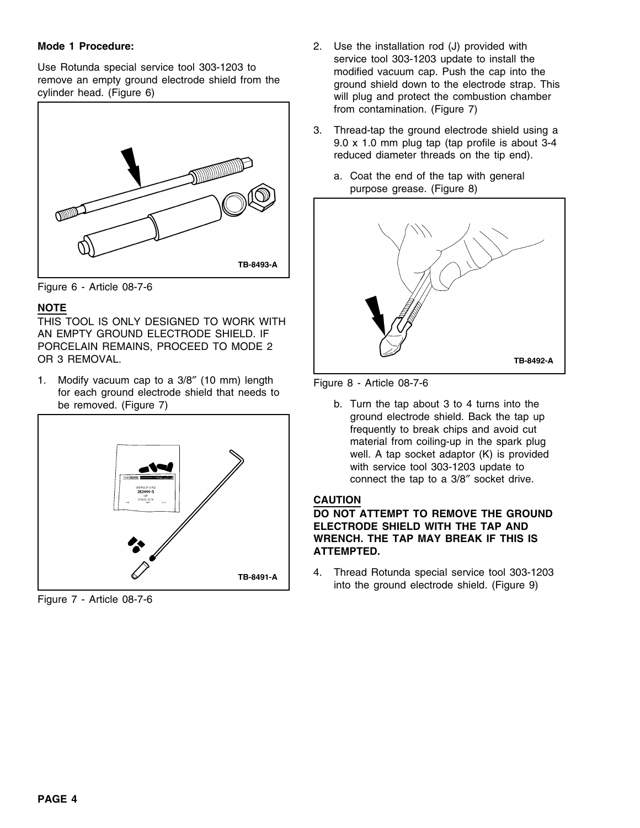

Figure 6 - Article 08-7-6

### **NOTE**

THIS TOOL IS ONLY DESIGNED TO WORK WITH AN EMPTY GROUND ELECTRODE SHIELD. IF PORCELAIN REMAINS, PROCEED TO MODE 2 OR 3 REMOVAL.

1. Modify vacuum cap to a 3/8" (10 mm) length Figure 8 - Article 08-7-6 for each ground electrode shield that needs to be removed. (Figure 7) b. Turn the tap about 3 to 4 turns into the



Figure 7 - Article 08-7-6

- **Mode 1 Procedure:** 2. Use the installation rod (J) provided with Use Rotunda special service tool 303-1203 to<br>
remove an empty ground electrode shield from the ground shield down to the electrode strap. This<br>
cylinder head. (Figure 6) will plug and protect the combustion chamber from contamination. (Figure 7)
	- 3. Thread-tap the ground electrode shield using a 9.0 x 1.0 mm plug tap (tap profile is about 3-4 reduced diameter threads on the tip end).
		- a. Coat the end of the tap with general purpose grease. (Figure 8)



ground electrode shield. Back the tap up frequently to break chips and avoid cut material from coiling-up in the spark plug well. A tap socket adaptor (K) is provided with service tool 303-1203 update to connect the tap to a 3/8″ socket drive.

### **CAUTION**

### **DO NOT ATTEMPT TO REMOVE THE GROUND ELECTRODE SHIELD WITH THE TAP AND WRENCH. THE TAP MAY BREAK IF THIS IS ATTEMPTED.**

4. Thread Rotunda special service tool 303-1203 into the ground electrode shield. (Figure 9)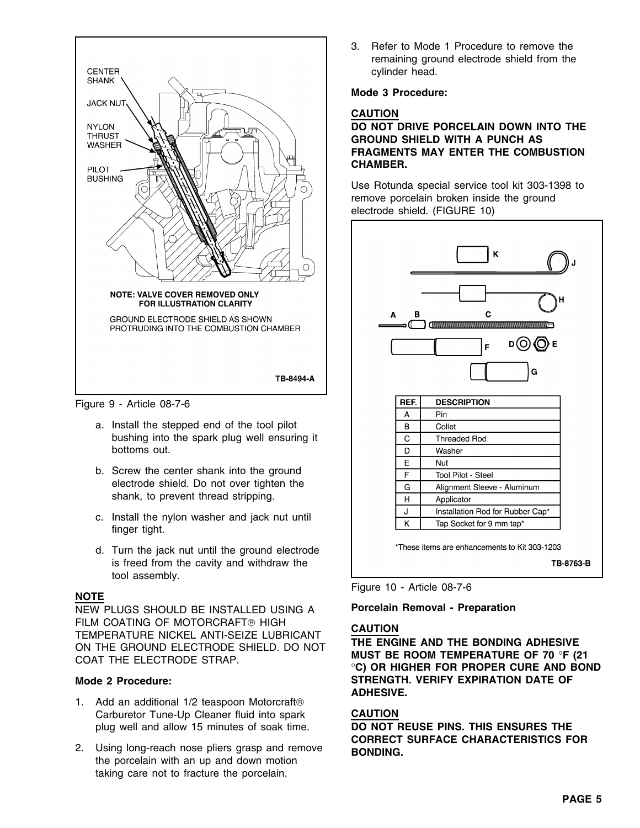

Figure 9 - Article 08-7-6

- a. Install the stepped end of the tool pilot bushing into the spark plug well ensuring it bottoms out.
- b. Screw the center shank into the ground electrode shield. Do not over tighten the shank, to prevent thread stripping.
- c. Install the nylon washer and jack nut until finger tight.
- d. Turn the jack nut until the ground electrode is freed from the cavity and withdraw the tool assembly.

NEW PLUGS SHOULD BE INSTALLED USING A **Porcelain Removal - Preparation**  FILM COATING OF MOTORCRAFT® HIGH<br>TEMPERATURE NICKEL ANTI-SEIZE LUBRICANT THE ENGINE AND THE BONDING ADHESIVE<br>ON THE GROUND ELECTRODE SHIELD. DO NOT MUST BE ROOM TEMPERATURE OF 70 °F (21<br>COAT THE ELECTRODE STRAP.

- 1. Add an additional 1/2 teaspoon Motorcraft® Carburetor Tune-Up Cleaner fluid into spark **CAUTION**
- 2. Using long-reach nose pliers grasp and remove **BONDING.** the porcelain with an up and down motion taking care not to fracture the porcelain.

3. Refer to Mode 1 Procedure to remove the remaining ground electrode shield from the cylinder head.

### **Mode 3 Procedure:**

### **CAUTION**

### **DO NOT DRIVE PORCELAIN DOWN INTO THE GROUND SHIELD WITH A PUNCH AS FRAGMENTS MAY ENTER THE COMBUSTION CHAMBER.**

Use Rotunda special service tool kit 303-1398 to remove porcelain broken inside the ground electrode shield. (FIGURE 10)



Figure 10 - Article 08-7-6 **NOTE**

**Mode 2 Procedure: STRENGTH. VERIFY EXPIRATION DATE OF ADHESIVE.**

plug well and allow 15 minutes of soak time. **DO NOT REUSE PINS. THIS ENSURES THE CORRECT SURFACE CHARACTERISTICS FOR**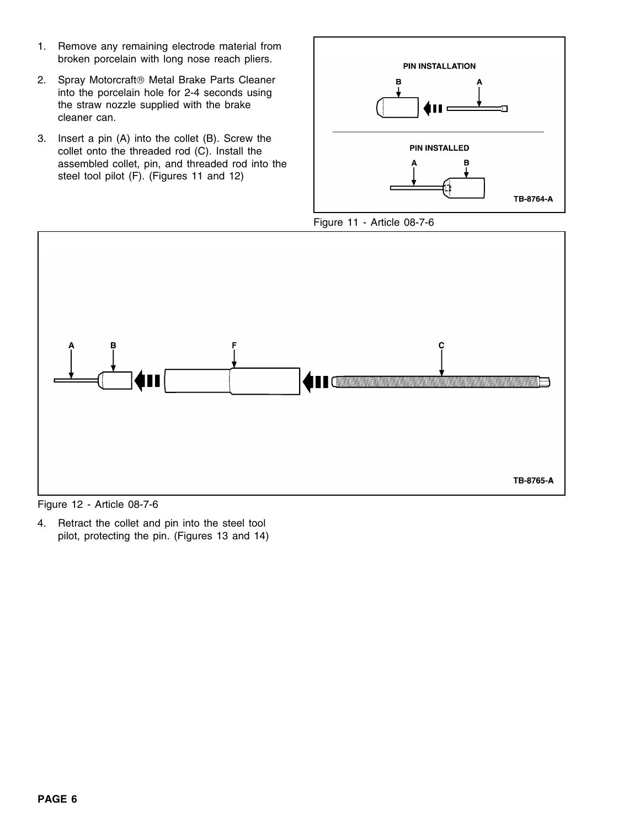- 1. Remove any remaining electrode material from broken porcelain with long nose reach pliers.
- 2. Spray Motorcraft<sup>®</sup> Metal Brake Parts Cleaner into the porcelain hole for 2-4 seconds using the straw nozzle supplied with the brake cleaner can.
- 3. Insert a pin (A) into the collet (B). Screw the collet onto the threaded rod (C). Install the assembled collet, pin, and threaded rod into the steel tool pilot (F). (Figures 11 and 12)







Figure 12 - Article 08-7-6

4. Retract the collet and pin into the steel tool pilot, protecting the pin. (Figures 13 and 14)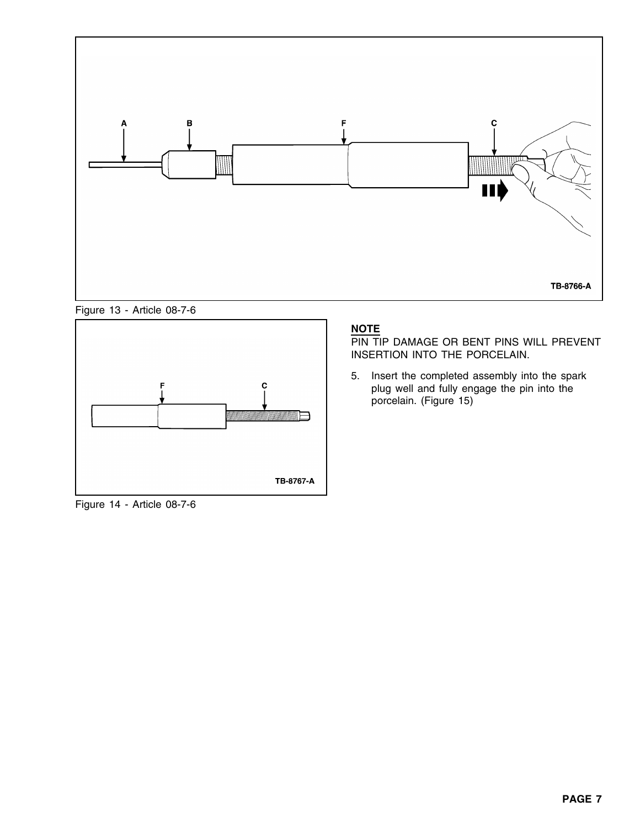

Figure 13 - Article 08-7-6



Figure 14 - Article 08-7-6

### **NOTE**

PIN TIP DAMAGE OR BENT PINS WILL PREVENT INSERTION INTO THE PORCELAIN.

5. Insert the completed assembly into the spark plug well and fully engage the pin into the porcelain. (Figure 15)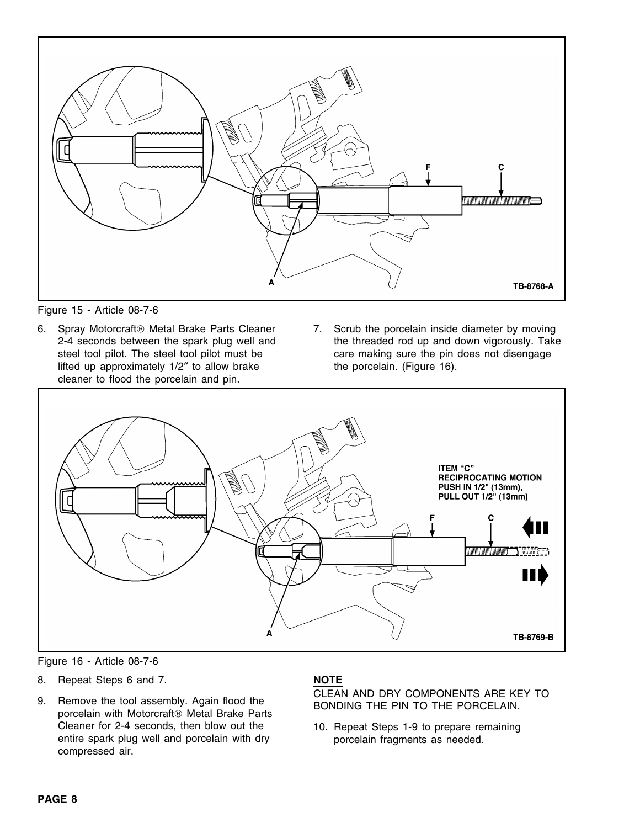

Figure 15 - Article 08-7-6

- lifted up approximately  $1/2$ " to allow brake the porcelain. (Figure 16). cleaner to flood the porcelain and pin.
- 6. Spray Motorcraft® Metal Brake Parts Cleaner 7. Scrub the porcelain inside diameter by moving 2-4 seconds between the spark plug well and the threaded rod up and down vigorously. Take steel tool pilot. The steel tool pilot must be care making sure the pin does not disengage



Figure 16 - Article 08-7-6

- 8. Repeat Steps 6 and 7. **NOTE**
- Cleaner for 2-4 seconds, then blow out the 10. Repeat Steps 1-9 to prepare remaining entire spark plug well and porcelain with dry **porcelain fragments as needed**. compressed air.

9. Remove the tool assembly. Again flood the GLEAN AND DRY COMPONENTS ARE KEY TO porcelain with Motorcraft ® Metal Brake Parts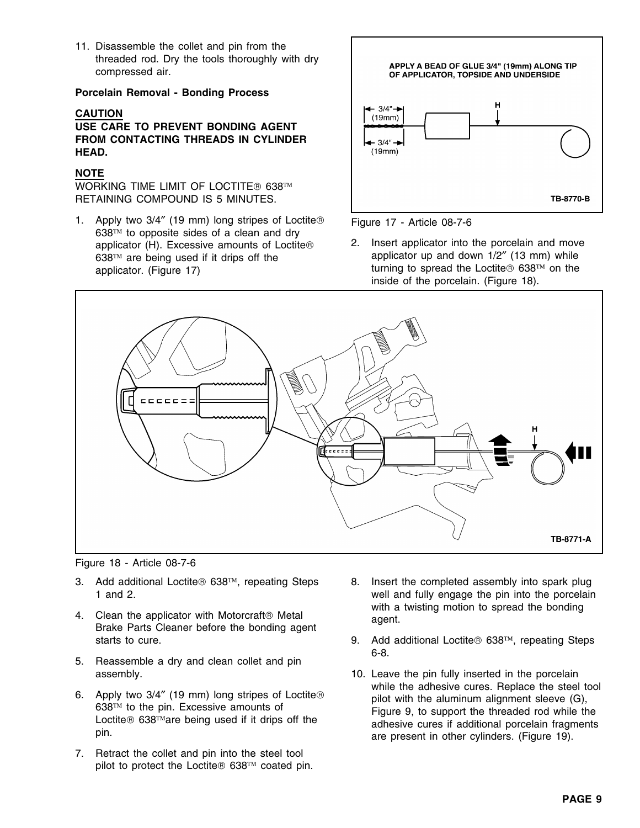11. Disassemble the collet and pin from the threaded rod. Dry the tools thoroughly with dry compressed air.

### **Porcelain Removal - Bonding Process**

### **CAUTION**

**USE CARE TO PREVENT BONDING AGENT FROM CONTACTING THREADS IN CYLINDER HEAD.**

### **NOTE**

WORKING TIME LIMIT OF LOCTITE® 638™ RETAINING COMPOUND IS 5 MINUTES.

1. Apply two 3/4" (19 mm) long stripes of Loctite® Figure 17 - Article 08-7-6  $638<sup>TM</sup>$  to opposite sides of a clean and dry 638™ are being used if it drips off the applicator. (Figure 17)





applicator  $(H)$ . Excessive amounts of Loctite 2. Insert applicator into the porcelain and move<br>638<sup>TM</sup> are being used if it drips off the **complicator** up and down 1/2" (13 mm) while turning to spread the Loctite  $\Theta$  638 $\text{m}$  on the inside of the porcelain. (Figure 18).



Figure 18 - Article 08-7-6

- 3. Add additional Loctite  $638\text{m}$ , repeating Steps 8. Insert the completed assembly into spark plug
- 
- 5. Reassemble a dry and clean collet and pin
- 
- 7. Retract the collet and pin into the steel tool pilot to protect the Loctite  $\textcircled{ }638^{\text{TM}}$  coated pin.
- 1 and 2. well and fully engage the pin into the porcelain with a twisting motion to spread the bonding<br>Brake Parts Cleaner before the bonding agent Brake Parts Cleaner before the bonding agent
	- starts to cure.  $\blacksquare$  9. Add additional Loctite 638<sup>TM</sup>, repeating Steps 6-8.
- assembly. 10. Leave the pin fully inserted in the porcelain 6. Apply two 3/4" (19 mm) long stripes of Loctite®<br>638<sup>TM</sup> to the pin. Excessive amounts of<br>Loctite® 638<sup>TM</sup> are being used if it drips off the<br>pin.<br>pin.<br>are present in other cylinders. (Figure 19).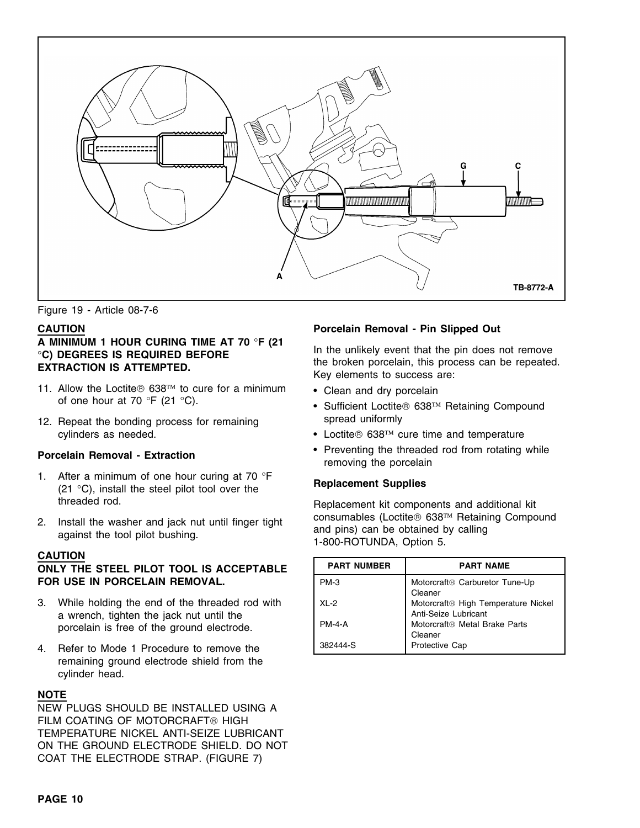

Figure 19 - Article 08-7-6

# A MINIMUM 1 HOUR CURING TIME AT 70 °F (21 In the unlikely event that the pin does not remove<br>
"C) DEGREES IS REQUIRED BEFORE<br>
EXTRACTION IS ATTEMPTED.<br>
EXTRACTION IS ATTEMPTED.<br>
Key elements to success are:

- 11. Allow the Loctite $\circledast$  638<sup>TM</sup> to cure for a minimum of one hour at 70  $\degree$ F (21  $\degree$ C).
- spread uniformly 12. Repeat the bonding process for remaining

- 1. After a minimum of one hour curing at 70 °<sup>F</sup> **Replacement Supplies** (21 °C), install the steel pilot tool over the threaded rod. Replacement kit components and additional kit
- 

### **CAUTION**

### **PART YOU THE STEEL PILOT TOOL IS ACCEPTABLE FOR USE IN PORCELAIN REMOVAL.**

- 3. While holding the end of the threaded rod with a wrench, tighten the jack nut until the porcelain is free of the ground electrode.
- 4. Refer to Mode 1 Procedure to remove the remaining ground electrode shield from the cylinder head.

### **NOTE**

NEW PLUGS SHOULD BE INSTALLED USING A FILM COATING OF MOTORCRAFT<sup>®</sup> HIGH TEMPERATURE NICKEL ANTI-SEIZE LUBRICANT ON THE GROUND ELECTRODE SHIELD. DO NOT COAT THE ELECTRODE STRAP. (FIGURE 7)

### **CAUTION Porcelain Removal - Pin Slipped Out**

- Clean and dry porcelain
- Sufficient Loctite<sup>®</sup> 638<sup>TM</sup> Retaining Compound
- cylinders as needed. Cocile® 638™ cure time and temperature
- Preventing the threaded rod from rotating while **Porcelain Removal Extraction** removing the porcelain

2. Install the washer and jack nut until finger tight consumables (Loctite 638<sup>TM</sup> Retaining Compound and pins) can be obtained by calling against the tool pilot bushing.  $1-800$ -ROTUNDA, Option 5.

| <b>PART NUMBER</b> | <b>PART NAME</b>                                                        |
|--------------------|-------------------------------------------------------------------------|
| $PM-3$             | Motorcraft® Carburetor Tune-Up<br>Cleaner                               |
| $X1 - 2$           | Motorcraft <sup>®</sup> High Temperature Nickel<br>Anti-Seize Lubricant |
| <b>PM-4-A</b>      | Motorcraft <sup>®</sup> Metal Brake Parts<br>Cleaner                    |
| 382444-S           | <b>Protective Cap</b>                                                   |